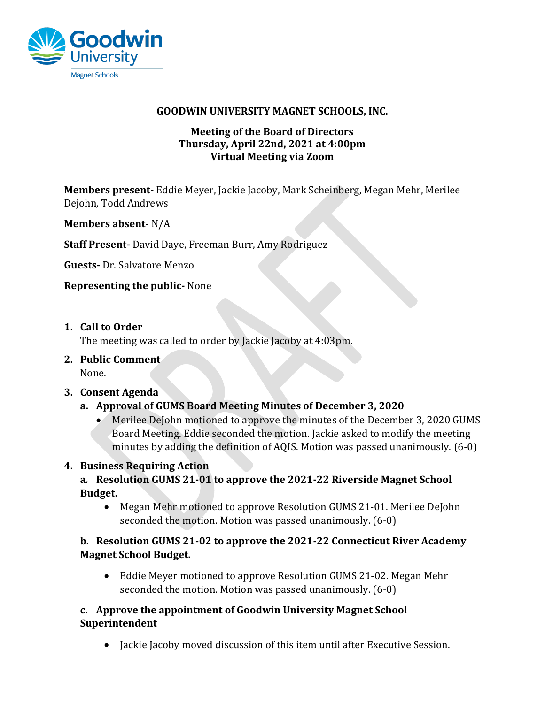

#### **GOODWIN UNIVERSITY MAGNET SCHOOLS, INC.**

### **Meeting of the Board of Directors Thursday, April 22nd, 2021 at 4:00pm Virtual Meeting via Zoom**

**Members present-** Eddie Meyer, Jackie Jacoby, Mark Scheinberg, Megan Mehr, Merilee Dejohn, Todd Andrews

**Members absent**- N/A

**Staff Present-** David Daye, Freeman Burr, Amy Rodriguez

**Guests-** Dr. Salvatore Menzo

**Representing the public-** None

**1. Call to Order**

The meeting was called to order by Jackie Jacoby at 4:03pm.

**2. Public Comment** None.

#### **3. Consent Agenda**

- **a. Approval of GUMS Board Meeting Minutes of December 3, 2020**
	- Merilee DeJohn motioned to approve the minutes of the December 3, 2020 GUMS Board Meeting. Eddie seconded the motion. Jackie asked to modify the meeting minutes by adding the definition of AQIS. Motion was passed unanimously. (6-0)

## **4. Business Requiring Action**

**a***.* **Resolution GUMS 21-01 to approve the 2021-22 Riverside Magnet School Budget.**

• Megan Mehr motioned to approve Resolution GUMS 21-01. Merilee DeJohn seconded the motion. Motion was passed unanimously. (6-0)

## **b. Resolution GUMS 21-02 to approve the 2021-22 Connecticut River Academy Magnet School Budget.**

• Eddie Meyer motioned to approve Resolution GUMS 21-02. Megan Mehr seconded the motion. Motion was passed unanimously. (6-0)

### **c. Approve the appointment of Goodwin University Magnet School Superintendent**

• Jackie Jacoby moved discussion of this item until after Executive Session.